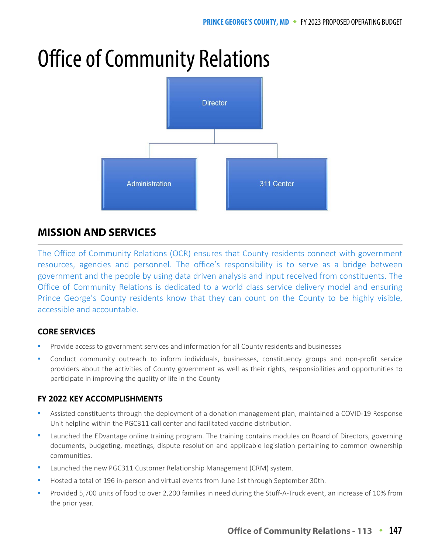# Office of Community Relations



# **MISSION AND SERVICES**

The Office of Community Relations (OCR) ensures that County residents connect with government resources, agencies and personnel. The office's responsibility is to serve as a bridge between government and the people by using data driven analysis and input received from constituents. The Office of Community Relations is dedicated to a world class service delivery model and ensuring Prince George's County residents know that they can count on the County to be highly visible, accessible and accountable.

## **CORE SERVICES**

- Provide access to government services and information for all County residents and businesses
- Conduct community outreach to inform individuals, businesses, constituency groups and non-profit service providers about the activities of County government as well as their rights, responsibilities and opportunities to participate in improving the quality of life in the County

## **FY 2022 KEY ACCOMPLISHMENTS**

- Assisted constituents through the deployment of a donation management plan, maintained a COVID-19 Response Unit helpline within the PGC311 call center and facilitated vaccine distribution.
- Launched the EDvantage online training program. The training contains modules on Board of Directors, governing documents, budgeting, meetings, dispute resolution and applicable legislation pertaining to common ownership communities.
- Launched the new PGC311 Customer Relationship Management (CRM) system.
- Hosted a total of 196 in-person and virtual events from June 1st through September 30th.
- Provided 5,700 units of food to over 2,200 families in need during the Stuff-A-Truck event, an increase of 10% from the prior year.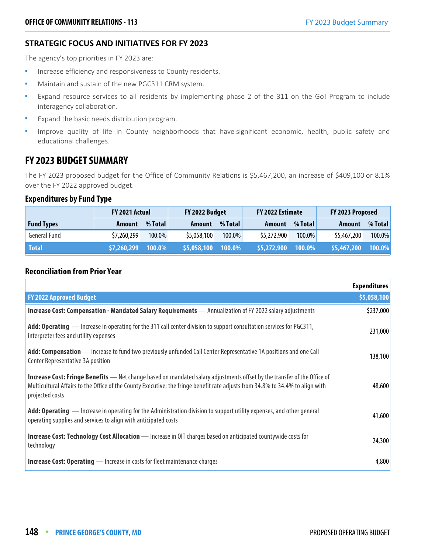## **STRATEGIC FOCUS AND INITIATIVES FOR FY 2023**

The agency's top priorities in FY 2023 are:

- **Increase efficiency and responsiveness to County residents.**
- Maintain and sustain of the new PGC311 CRM system.
- Expand resource services to all residents by implementing phase 2 of the 311 on the Go! Program to include interagency collaboration.
- Expand the basic needs distribution program.
- " Improve quality of life in County neighborhoods that have significant economic, health, public safety and educational challenges.

## **FY 2023 BUDGET SUMMARY**

The FY 2023 proposed budget for the Office of Community Relations is \$5,467,200, an increase of \$409,100 or 8.1% over the FY 2022 approved budget.

## **Expenditures by Fund Type**

|                   | <b>FY 2021 Actual</b> |         | FY 2022 Budget |         | FY 2022 Estimate |           |               |         | FY 2023 Proposed |  |
|-------------------|-----------------------|---------|----------------|---------|------------------|-----------|---------------|---------|------------------|--|
| <b>Fund Types</b> | Amount                | % Total | Amount         | % Total | <b>Amount</b>    | % Total   | <b>Amount</b> | % Total |                  |  |
| General Fund      | \$7,260,299           | 100.0%  | \$5,058,100    | 100.0%  | \$5,272,900      | $100.0\%$ | \$5,467,200   | 100.0%  |                  |  |
| <b>Total</b>      | \$7,260,299           | 100.0%  | \$5,058,100    | 100.0%  | \$5,272,900      | 100.0%    | \$5,467,200   | 100.0%  |                  |  |

## **Reconciliation from Prior Year**

|                                                                                                                                                                                                                                                                                      | <b>Expenditures</b> |
|--------------------------------------------------------------------------------------------------------------------------------------------------------------------------------------------------------------------------------------------------------------------------------------|---------------------|
| <b>FY 2022 Approved Budget</b>                                                                                                                                                                                                                                                       | \$5,058,100         |
| Increase Cost: Compensation - Mandated Salary Requirements - Annualization of FY 2022 salary adjustments                                                                                                                                                                             | \$237,000           |
| Add: Operating - Increase in operating for the 311 call center division to support consultation services for PGC311,<br>interpreter fees and utility expenses                                                                                                                        | 231,000             |
| Add: Compensation — Increase to fund two previously unfunded Call Center Representative 1A positions and one Call<br>Center Representative 3A position                                                                                                                               | 138,100             |
| <b>Increase Cost: Fringe Benefits</b> — Net change based on mandated salary adjustments offset by the transfer of the Office of<br>Multicultural Affairs to the Office of the County Executive; the fringe benefit rate adjusts from 34.8% to 34.4% to align with<br>projected costs | 48,600              |
| Add: Operating — Increase in operating for the Administration division to support utility expenses, and other general<br>operating supplies and services to align with anticipated costs                                                                                             | 41,600              |
| <b>Increase Cost: Technology Cost Allocation</b> - Increase in OIT charges based on anticipated countywide costs for<br>technology                                                                                                                                                   | 24,300              |
| <b>Increase Cost: Operating</b> — Increase in costs for fleet maintenance charges                                                                                                                                                                                                    | 4,800               |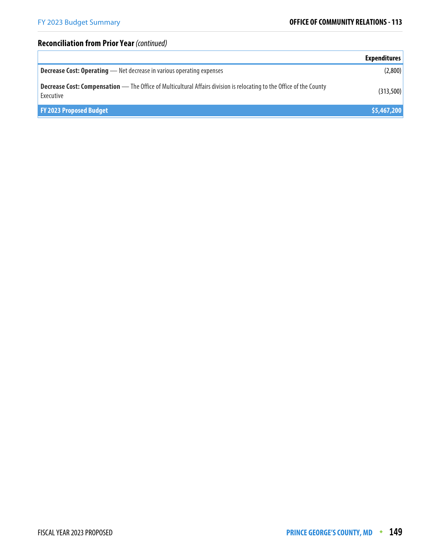## **Reconciliation from Prior Year** (continued)

|                                                                                                                                          | <b>Expenditures</b> |
|------------------------------------------------------------------------------------------------------------------------------------------|---------------------|
| <b>Decrease Cost: Operating</b> - Net decrease in various operating expenses                                                             | (2,800)             |
| <b>Decrease Cost: Compensation</b> — The Office of Multicultural Affairs division is relocating to the Office of the County<br>Executive | (313,500)           |
| <b>FY 2023 Proposed Budget</b>                                                                                                           | \$5,467,200         |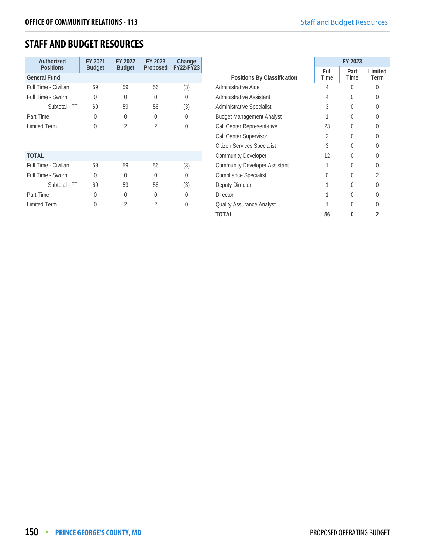## **STAFF AND BUDGET RESOURCES**

| Authorized<br><b>Positions</b> | FY 2021<br><b>Budget</b> | FY 2022<br><b>Budget</b> | FY 2023<br>Proposed | Change<br><b>FY22-FY23</b> |
|--------------------------------|--------------------------|--------------------------|---------------------|----------------------------|
| <b>General Fund</b>            |                          |                          |                     |                            |
| Full Time - Civilian           | 69                       | 59                       | 56                  | (3)                        |
| Full Time - Sworn              | 0                        | $\theta$                 | $\Omega$            | 0                          |
| Subtotal - FT                  | 69                       | 59                       | 56                  | (3)                        |
| Part Time                      | 0                        | 0                        | 0                   | O                          |
| <b>Limited Term</b>            | $\Omega$                 | $\overline{2}$           | $\overline{2}$      | $\Omega$                   |
|                                |                          |                          |                     |                            |
|                                |                          |                          |                     |                            |
| <b>TOTAL</b>                   |                          |                          |                     |                            |
| Full Time - Civilian           | 69                       | 59                       | 56                  | (3)                        |
| Full Time - Sworn              | 0                        | 0                        | $\Omega$            | 0                          |
| Subtotal - FT                  | 69                       | 59                       | 56                  | (3)                        |
| Part Time                      | <sup>0</sup>             | O                        | <sup>0</sup>        | U                          |
| <b>Limited Term</b>            | U                        | 2                        | 2                   |                            |
|                                |                          |                          |                     |                            |

|                                      | FY 2023        |                     |                 |
|--------------------------------------|----------------|---------------------|-----------------|
| Positions By Classification          | Full<br>Time   | Part<br><b>Time</b> | Limited<br>Term |
| Administrative Aide                  | 4              | U                   | U               |
| Administrative Assistant             | 4              | $\left( \right)$    | 0               |
| <b>Administrative Specialist</b>     | 3              | O                   | $\Omega$        |
| <b>Budget Management Analyst</b>     |                | O                   | 0               |
| Call Center Representative           | 23             | $\left( \right)$    | U               |
| Call Center Supervisor               | $\mathfrak{D}$ | $\left( \right)$    | U               |
| Citizen Services Specialist          | 3              |                     | 0               |
| <b>Community Developer</b>           | 12             | 0                   | 0               |
| <b>Community Developer Assistant</b> |                | $\left( \right)$    | U               |
| <b>Compliance Specialist</b>         | O              | U                   | $\mathfrak{D}$  |
| Deputy Director                      |                | $\left( \right)$    | 0               |
| <b>Director</b>                      |                | $\left( \right)$    | $\Omega$        |
| Quality Assurance Analyst            |                | 0                   | U               |
| <b>TOTAL</b>                         | 56             |                     | 2               |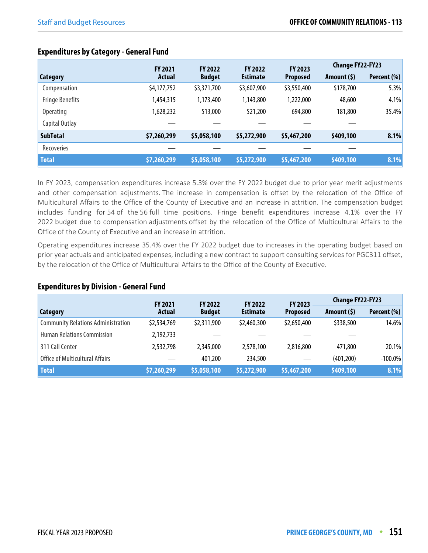|                        | <b>FY 2021</b> | <b>FY 2022</b> | <b>FY 2022</b>  | <b>FY 2023</b>  | <b>Change FY22-FY23</b> |             |
|------------------------|----------------|----------------|-----------------|-----------------|-------------------------|-------------|
| <b>Category</b>        | <b>Actual</b>  | <b>Budget</b>  | <b>Estimate</b> | <b>Proposed</b> | Amount (\$)             | Percent (%) |
| Compensation           | \$4,177,752    | \$3,371,700    | \$3,607,900     | \$3,550,400     | \$178,700               | 5.3%        |
| <b>Fringe Benefits</b> | 1,454,315      | 1,173,400      | 1,143,800       | 1,222,000       | 48,600                  | 4.1%        |
| <b>Operating</b>       | 628,232        | 513,000        | 521,200         | 694,800         | 181,800                 | 35.4%       |
| Capital Outlay         |                |                |                 |                 |                         |             |
| <b>SubTotal</b>        | \$7,260,299    | \$5,058,100    | \$5,272,900     | \$5,467,200     | \$409,100               | 8.1%        |
| Recoveries             |                |                |                 |                 |                         |             |
| <b>Total</b>           | \$7,260,299    | \$5,058,100    | \$5,272,900     | \$5,467,200     | \$409,100               | 8.1%        |

## **Expenditures by Category - General Fund**

In FY 2023, compensation expenditures increase 5.3% over the FY 2022 budget due to prior year merit adjustments and other compensation adjustments. The increase in compensation is offset by the relocation of the Office of Multicultural Affairs to the Office of the County of Executive and an increase in attrition. The compensation budget includes funding for 54 of the 56 full time positions. Fringe benefit expenditures increase 4.1% over the FY 2022 budget due to compensation adjustments offset by the relocation of the Office of Multicultural Affairs to the Office of the County of Executive and an increase in attrition.

Operating expenditures increase 35.4% over the FY 2022 budget due to increases in the operating budget based on prior year actuals and anticipated expenses, including a new contract to support consulting services for PGC311 offset, by the relocation of the Office of Multicultural Affairs to the Office of the County of Executive.

## **Expenditures by Division - General Fund**

|                                           | <b>FY 2021</b> | <b>FY 2022</b>            | <b>FY 2022</b>  | FY 2023         | <b>Change FY22-FY23</b> |             |
|-------------------------------------------|----------------|---------------------------|-----------------|-----------------|-------------------------|-------------|
| Category                                  | <b>Actual</b>  | <b>Budget</b>             | <b>Estimate</b> | <b>Proposed</b> | Amount $(5)$            | Percent (%) |
| <b>Community Relations Administration</b> | \$2,534,769    | \$2,311,900               | \$2,460,300     | \$2,650,400     | \$338,500               | 14.6%       |
| <b>Human Relations Commission</b>         | 2,192,733      |                           |                 |                 |                         |             |
| 311 Call Center                           | 2,532,798      | 2,345,000                 | 2,578,100       | 2,816,800       | 471,800                 | 20.1%       |
| <b>Office of Multicultural Affairs</b>    |                | 401,200                   | 234,500         |                 | (401, 200)              | $-100.0\%$  |
| <b>Total</b>                              | \$7,260,299    | $\frac{1}{2}$ \$5,058,100 | \$5,272,900     | \$5,467,200     | \$409,100               | 8.1%        |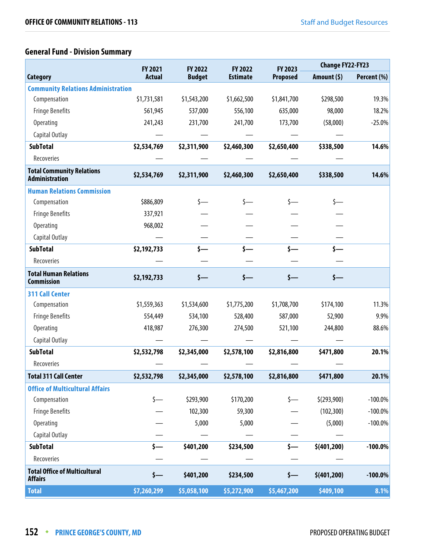# **General Fund - Division Summary**

|                                                           | <b>FY 2021</b>   | FY 2022       | FY 2022         | FY 2023          | <b>Change FY22-FY23</b> |             |
|-----------------------------------------------------------|------------------|---------------|-----------------|------------------|-------------------------|-------------|
| <b>Category</b>                                           | <b>Actual</b>    | <b>Budget</b> | <b>Estimate</b> | <b>Proposed</b>  | Amount $(5)$            | Percent (%) |
| <b>Community Relations Administration</b>                 |                  |               |                 |                  |                         |             |
| Compensation                                              | \$1,731,581      | \$1,543,200   | \$1,662,500     | \$1,841,700      | \$298,500               | 19.3%       |
| <b>Fringe Benefits</b>                                    | 561,945          | 537,000       | 556,100         | 635,000          | 98,000                  | 18.2%       |
| Operating                                                 | 241,243          | 231,700       | 241,700         | 173,700          | (58,000)                | $-25.0%$    |
| Capital Outlay                                            |                  |               |                 |                  |                         |             |
| <b>SubTotal</b>                                           | \$2,534,769      | \$2,311,900   | \$2,460,300     | \$2,650,400      | \$338,500               | 14.6%       |
| Recoveries                                                |                  |               |                 |                  |                         |             |
| <b>Total Community Relations</b><br><b>Administration</b> | \$2,534,769      | \$2,311,900   | \$2,460,300     | \$2,650,400      | \$338,500               | 14.6%       |
| <b>Human Relations Commission</b>                         |                  |               |                 |                  |                         |             |
| Compensation                                              | \$886,809        |               | \$—             |                  |                         |             |
| <b>Fringe Benefits</b>                                    | 337,921          |               |                 |                  |                         |             |
| Operating                                                 | 968,002          |               |                 |                  |                         |             |
| Capital Outlay                                            |                  |               |                 |                  |                         |             |
| <b>SubTotal</b>                                           | \$2,192,733      |               |                 |                  | <b>s</b> —              |             |
| Recoveries                                                |                  |               |                 |                  |                         |             |
| <b>Total Human Relations</b><br><b>Commission</b>         | \$2,192,733      | \$—           | $\zeta$ —       | $\longleftarrow$ | $\mathsf{s}-$           |             |
| <b>311 Call Center</b>                                    |                  |               |                 |                  |                         |             |
| Compensation                                              | \$1,559,363      | \$1,534,600   | \$1,775,200     | \$1,708,700      | \$174,100               | 11.3%       |
| <b>Fringe Benefits</b>                                    | 554,449          | 534,100       | 528,400         | 587,000          | 52,900                  | 9.9%        |
| Operating                                                 | 418,987          | 276,300       | 274,500         | 521,100          | 244,800                 | 88.6%       |
| Capital Outlay                                            |                  |               |                 |                  |                         |             |
| <b>SubTotal</b>                                           | \$2,532,798      | \$2,345,000   | \$2,578,100     | \$2,816,800      | \$471,800               | 20.1%       |
| Recoveries                                                |                  |               |                 |                  |                         |             |
| Total 311 Call Center                                     | \$2,532,798      | \$2,345,000   | \$2,578,100     | \$2,816,800      | \$471,800               | 20.1%       |
| <b>Office of Multicultural Affairs</b>                    |                  |               |                 |                  |                         |             |
| Compensation                                              | $\zeta$ —        | \$293,900     | \$170,200       | $\zeta$ —        | \$(293,900)             | $-100.0\%$  |
| <b>Fringe Benefits</b>                                    |                  | 102,300       | 59,300          |                  | (102, 300)              | $-100.0\%$  |
| <b>Operating</b>                                          |                  | 5,000         | 5,000           |                  | (5,000)                 | $-100.0\%$  |
| Capital Outlay                                            |                  |               |                 |                  |                         |             |
| <b>SubTotal</b>                                           | \$—              | \$401,200     | \$234,500       | \$—              | \$(401, 200)            | $-100.0\%$  |
| Recoveries                                                |                  |               |                 |                  |                         |             |
| <b>Total Office of Multicultural</b><br><b>Affairs</b>    | $\longleftarrow$ | \$401,200     | \$234,500       | $\longleftarrow$ | \$(401, 200)            | $-100.0%$   |
| <b>Total</b>                                              | \$7,260,299      | \$5,058,100   | \$5,272,900     | \$5,467,200      | \$409,100               | 8.1%        |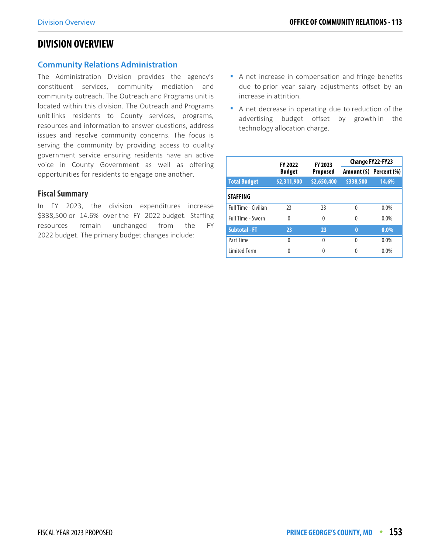## **DIVISION OVERVIEW**

## **Community Relations Administration**

The Administration Division provides the agency's constituent services, community mediation and community outreach. The Outreach and Programs unit is located within this division. The Outreach and Programs unit links residents to County services, programs, resources and information to answer questions, address issues and resolve community concerns. The focus is serving the community by providing access to quality government service ensuring residents have an active voice in County Government as well as offering opportunities for residents to engage one another.

#### **Fiscal Summary**

In FY 2023, the division expenditures increase \$338,500 or 14.6% over the FY 2022 budget. Staffing resources remain unchanged from the FY 2022 budget. The primary budget changes include:

- A net increase in compensation and fringe benefits due to prior year salary adjustments offset by an increase in attrition.
- A net decrease in operating due to reduction of the advertising budget offset by growth in the technology allocation charge.

|                      | <b>FY 2022</b> | FY 2023         |           | <b>Change FY22-FY23</b> |
|----------------------|----------------|-----------------|-----------|-------------------------|
|                      | <b>Budget</b>  | <b>Proposed</b> |           | Amount (\$) Percent (%) |
| <b>Total Budget</b>  | \$2,311,900    | \$2,650,400     | \$338,500 | 14.6%                   |
| <b>STAFFING</b>      |                |                 |           |                         |
| Full Time - Civilian | 23             | 23              | 0         | $0.0\%$                 |
| Full Time - Sworn    | 0              | $\theta$        | 0         | $0.0\%$                 |
| <b>Subtotal - FT</b> | 23             | 23              | $\bf{0}$  | $0.0\%$                 |
| Part Time            | $\Omega$       | 0               | $\Omega$  | $0.0\%$                 |
| <b>Limited Term</b>  | 0              | 0               | 0         | 0.0%                    |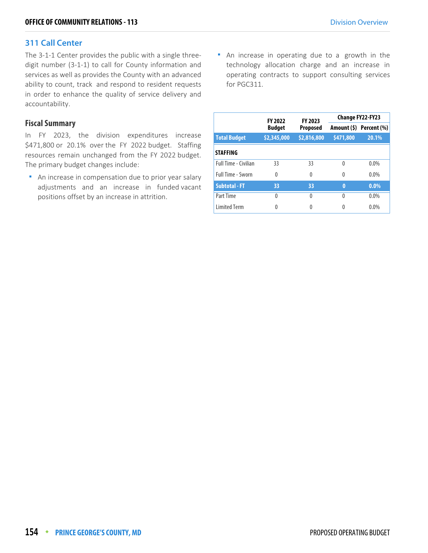## **311 Call Center**

The 3-1-1 Center provides the public with a single threedigit number (3-1-1) to call for County information and services as well as provides the County with an advanced ability to count, track and respond to resident requests in order to enhance the quality of service delivery and accountability.

## **Fiscal Summary**

In FY 2023, the division expenditures increase \$471,800 or 20.1% over the FY 2022 budget. Staffing resources remain unchanged from the FY 2022 budget. The primary budget changes include:

**An increase in compensation due to prior year salary** adjustments and an increase in funded vacant positions offset by an increase in attrition.

**An increase in operating due to a growth in the** technology allocation charge and an increase in operating contracts to support consulting services for PGC311.

|                             | <b>FY 2022</b> | FY 2023         | <b>Change FY22-FY23</b> |                         |  |
|-----------------------------|----------------|-----------------|-------------------------|-------------------------|--|
|                             | <b>Budget</b>  | <b>Proposed</b> |                         | Amount (\$) Percent (%) |  |
| <b>Total Budget</b>         | \$2,345,000    | \$2,816,800     | \$471,800               | 20.1%                   |  |
| <b>STAFFING</b>             |                |                 |                         |                         |  |
| <b>Full Time - Civilian</b> | 33             | 33              | $\Omega$                | $0.0\%$                 |  |
| <b>Full Time - Sworn</b>    | 0              | 0               | $\Omega$                | $0.0\%$                 |  |
| <b>Subtotal - FT</b>        | 33             | 33              | $\bf{0}$                | $0.0\%$                 |  |
| Part Time                   | $\Omega$       | $\Omega$        | $\Omega$                | 0.0%                    |  |
| <b>Limited Term</b>         | 0              |                 | 0                       | 0.0%                    |  |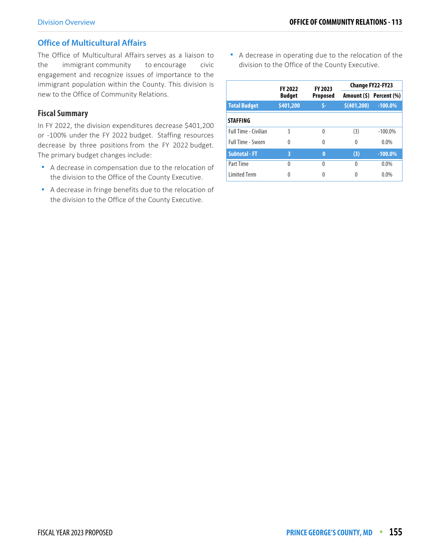## **Office of Multicultural Affairs**

The Office of Multicultural Affairs serves as a liaison to the immigrant community to encourage civic engagement and recognize issues of importance to the immigrant population within the County. This division is new to the Office of Community Relations.

#### **Fiscal Summary**

In FY 2022, the division expenditures decrease \$401,200 or -100% under the FY 2022 budget. Staffing resources decrease by three positions from the FY 2022 budget. The primary budget changes include:

- A decrease in compensation due to the relocation of the division to the Office of the County Executive.
- A decrease in fringe benefits due to the relocation of the division to the Office of the County Executive.

 A decrease in operating due to the relocation of the division to the Office of the County Executive.

|                      | <b>FY 2022</b> | FY 2023         |             | Change FY22-FY23        |
|----------------------|----------------|-----------------|-------------|-------------------------|
|                      | <b>Budget</b>  | <b>Proposed</b> |             | Amount (\$) Percent (%) |
| <b>Total Budget</b>  | \$401,200      |                 | \$(401,200) | $-100.0\%$              |
| <b>STAFFING</b>      |                |                 |             |                         |
| Full Time - Civilian | 3              | 0               | (3)         | $-100.0\%$              |
| Full Time - Sworn    | $\Omega$       | 0               | 0           | $0.0\%$                 |
| <b>Subtotal - FT</b> | 3              | 0               | (3)         | $-100.0%$               |
| Part Time            | 0              | 0               | $\Omega$    | $0.0\%$                 |
| <b>Limited Term</b>  | 0              | 0               | 0           | $0.0\%$                 |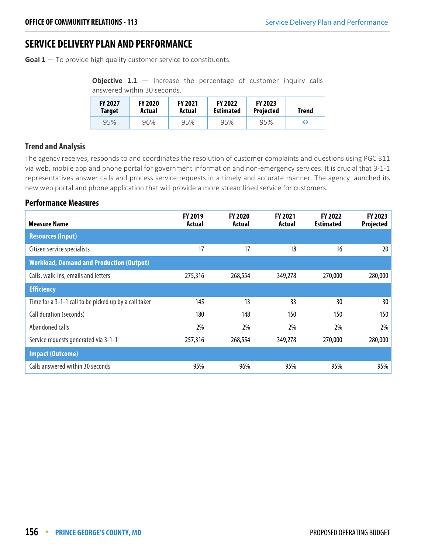## **SERVICE DELIVERY PLAN AND PERFORMANCE**

**Goal 1** — To provide high quality customer service to constituents.

**Objective 1.1** – Increase the percentage of customer inquiry calls answered within 30 seconds.

| <b>FY 2027</b> | <b>FY 2020</b> | <b>FY 2021</b> | <b>FY 2022</b>   | <b>FY 2023</b>   | Trend |
|----------------|----------------|----------------|------------------|------------------|-------|
| <b>Target</b>  | Actual         | Actual         | <b>Estimated</b> | <b>Projected</b> |       |
| 95%            | 96%            | 95%            | 95%              | 95%              | ⊖     |

#### **Trend and Analysis**

The agency receives, responds to and coordinates the resolution of customer complaints and questions using PGC 311 via web, mobile app and phone portal for government information and non-emergency services. It is crucial that 3-1-1 representatives answer calls and process service requests in a timely and accurate manner. The agency launched its new web portal and phone application that will provide a more streamlined service for customers.

## **Performance Measures**

| <b>Measure Name</b>                                   | FY 2019<br>Actual | FY 2020<br>Actual | <b>FY 2021</b><br>Actual | FY 2022<br><b>Estimated</b> | <b>FY 2023</b><br>Projected |
|-------------------------------------------------------|-------------------|-------------------|--------------------------|-----------------------------|-----------------------------|
| <b>Resources (Input)</b>                              |                   |                   |                          |                             |                             |
| Citizen service specialists                           | 17                | 17                | 18                       | 16                          | 20 <sup>2</sup>             |
| <b>Workload, Demand and Production (Output)</b>       |                   |                   |                          |                             |                             |
| Calls, walk-ins, emails and letters                   | 275,316           | 268,554           | 349,278                  | 270,000                     | 280,000                     |
| <b>Efficiency</b>                                     |                   |                   |                          |                             |                             |
| Time for a 3-1-1 call to be picked up by a call taker | 145               | 13                | 33                       | 30                          | 30 <sup>°</sup>             |
| Call duration (seconds)                               | 180               | 148               | 150                      | 150                         | 150                         |
| Abandoned calls                                       | 2%                | 2%                | 2%                       | 2%                          | 2%                          |
| Service requests generated via 3-1-1                  | 257,316           | 268,554           | 349,278                  | 270,000                     | 280,000                     |
| <b>Impact (Outcome)</b>                               |                   |                   |                          |                             |                             |
| Calls answered within 30 seconds                      | 95%               | 96%               | 95%                      | 95%                         | 95%                         |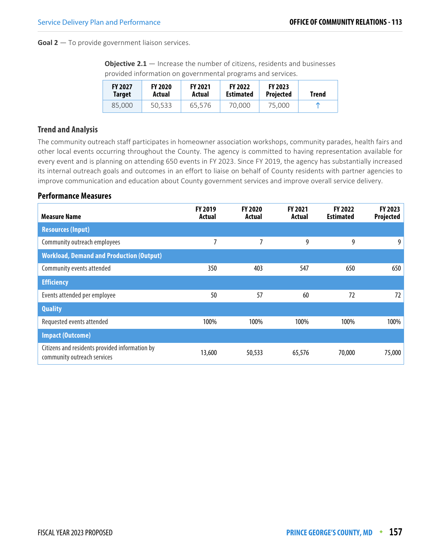**Goal 2** — To provide government liaison services.

**Objective 2.1** — Increase the number of citizens, residents and businesses provided information on governmental programs and services.

| <b>FY 2027</b><br>Target | <b>FY 2020</b><br>Actual | <b>FY 2021</b><br>Actual | <b>FY 2022</b><br><b>Estimated</b> | <b>FY 2023</b><br><b>Projected</b> | Trend |
|--------------------------|--------------------------|--------------------------|------------------------------------|------------------------------------|-------|
| 85,000                   | 50,533                   | 65.576                   | 70,000                             | 75,000                             |       |

## **Trend and Analysis**

The community outreach staff participates in homeowner association workshops, community parades, health fairs and other local events occurring throughout the County. The agency is committed to having representation available for every event and is planning on attending 650 events in FY 2023. Since FY 2019, the agency has substantially increased its internal outreach goals and outcomes in an effort to liaise on behalf of County residents with partner agencies to improve communication and education about County government services and improve overall service delivery.

#### **Performance Measures**

| <b>Measure Name</b>                                                           | <b>FY 2019</b><br>Actual | <b>FY 2020</b><br>Actual | <b>FY 2021</b><br>Actual | FY 2022<br><b>Estimated</b> | FY 2023<br><b>Projected</b> |
|-------------------------------------------------------------------------------|--------------------------|--------------------------|--------------------------|-----------------------------|-----------------------------|
| <b>Resources (Input)</b>                                                      |                          |                          |                          |                             |                             |
| Community outreach employees                                                  | 7                        |                          | 9                        | 9                           | 9                           |
| <b>Workload, Demand and Production (Output)</b>                               |                          |                          |                          |                             |                             |
| Community events attended                                                     | 350                      | 403                      | 547                      | 650                         | 650                         |
| <b>Efficiency</b>                                                             |                          |                          |                          |                             |                             |
| Events attended per employee                                                  | 50                       | 57                       | 60                       | 72                          | 72                          |
| <b>Quality</b>                                                                |                          |                          |                          |                             |                             |
| Requested events attended                                                     | 100%                     | 100%                     | 100%                     | 100%                        | 100%                        |
| <b>Impact (Outcome)</b>                                                       |                          |                          |                          |                             |                             |
| Citizens and residents provided information by<br>community outreach services | 13,600                   | 50,533                   | 65,576                   | 70,000                      | 75,000                      |